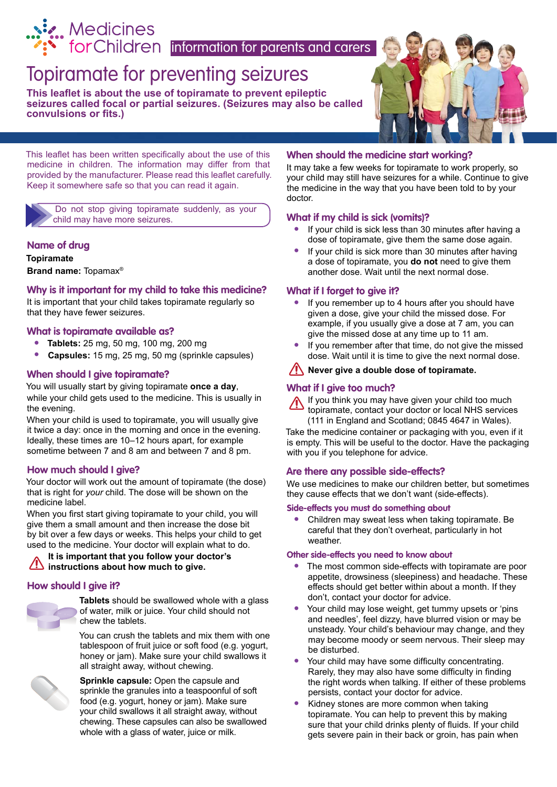

# [Topiramate for preventing seizures](http://www.medicinesforchildren.org.uk)

**This leaflet is about the use of topiramate to prevent epileptic seizures called focal or partial seizures. (Seizures may also be called convulsions or fits.)** 



This leaflet has been written specifically about the use of this medicine in children. The information may differ from that provided by the manufacturer. Please read this leaflet carefully. Keep it somewhere safe so that you can read it again.

Do not stop giving topiramate suddenly, as your child may have more seizures.

## **Name of drug**

**Topiramate**

**Brand name:** Topamax®

## **Why is it important for my child to take this medicine?**

It is important that your child takes topiramate regularly so that they have fewer seizures.

## **What is topiramate available as?**

- **• Tablets:** 25 mg, 50 mg, 100 mg, 200 mg
- **• Capsules:** 15 mg, 25 mg, 50 mg (sprinkle capsules)

## **When should I give topiramate?**

You will usually start by giving topiramate **once a day**, while your child gets used to the medicine. This is usually in the evening.

When your child is used to topiramate, you will usually give it twice a day: once in the morning and once in the evening. Ideally, these times are 10–12 hours apart, for example sometime between 7 and 8 am and between 7 and 8 pm.

## **How much should I give?**

Your doctor will work out the amount of topiramate (the dose) that is right for *your* child. The dose will be shown on the medicine label.

When you first start giving topiramate to your child, you will give them a small amount and then increase the dose bit by bit over a few days or weeks. This helps your child to get used to the medicine. Your doctor will explain what to do.

## **It is important that you follow your doctor's instructions about how much to give.**

## **How should I give it?**



**Tablets** should be swallowed whole with a glass of water, milk or juice. Your child should not chew the tablets.

You can crush the tablets and mix them with one tablespoon of fruit juice or soft food (e.g. yogurt, honey or jam). Make sure your child swallows it all straight away, without chewing.



**Sprinkle capsule:** Open the capsule and sprinkle the granules into a teaspoonful of soft food (e.g. yogurt, honey or jam). Make sure your child swallows it all straight away, without chewing. These capsules can also be swallowed whole with a glass of water, juice or milk.

#### **When should the medicine start working?**

It may take a few weeks for topiramate to work properly, so your child may still have seizures for a while. Continue to give the medicine in the way that you have been told to by your doctor.

## **What if my child is sick (vomits)?**

- **•** If your child is sick less than 30 minutes after having a dose of topiramate, give them the same dose again.
- **•** If your child is sick more than 30 minutes after having a dose of topiramate, you **do not** need to give them another dose. Wait until the next normal dose.

## **What if I forget to give it?**

- **•** If you remember up to 4 hours after you should have given a dose, give your child the missed dose. For example, if you usually give a dose at 7 am, you can give the missed dose at any time up to 11 am.
- **•** If you remember after that time, do not give the missed dose. Wait until it is time to give the next normal dose.
- **/!\ Never give a double dose of topiramate.**

## **What if I give too much?**

If you think you may have given your child too much topiramate, contact your doctor or local NHS services (111 in England and Scotland; 0845 4647 in Wales).

Take the medicine container or packaging with you, even if it is empty. This will be useful to the doctor. Have the packaging with you if you telephone for advice.

## **Are there any possible side-effects?**

We use medicines to make our children better, but sometimes they cause effects that we don't want (side-effects).

#### **Side-effects you must do something about**

**•** Children may sweat less when taking topiramate. Be careful that they don't overheat, particularly in hot weather.

#### **Other side-effects you need to know about**

- **•** The most common side-effects with topiramate are poor appetite, drowsiness (sleepiness) and headache. These effects should get better within about a month. If they don't, contact your doctor for advice.
- **•** Your child may lose weight, get tummy upsets or 'pins and needles', feel dizzy, have blurred vision or may be unsteady. Your child's behaviour may change, and they may become moody or seem nervous. Their sleep may be disturbed.
- **•** Your child may have some difficulty concentrating. Rarely, they may also have some difficulty in finding the right words when talking. If either of these problems persists, contact your doctor for advice.
- **•** Kidney stones are more common when taking topiramate. You can help to prevent this by making sure that your child drinks plenty of fluids. If your child gets severe pain in their back or groin, has pain when